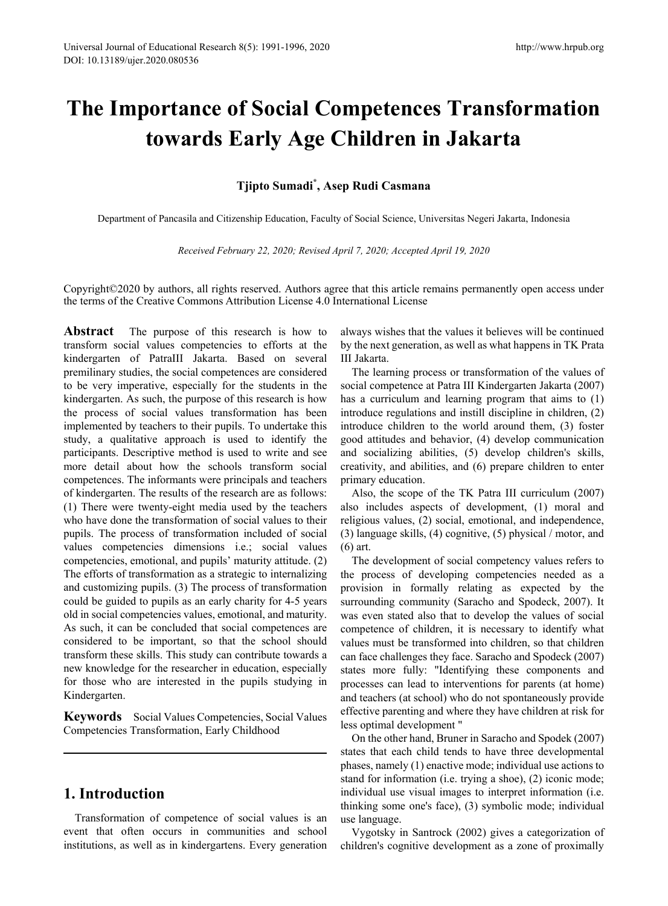# **The Importance of Social Competences Transformation towards Early Age Children in Jakarta**

#### **Tjipto Sumadi\* , Asep Rudi Casmana**

Department of Pancasila and Citizenship Education, Faculty of Social Science, Universitas Negeri Jakarta, Indonesia

*Received February 22, 2020; Revised April 7, 2020; Accepted April 19, 2020*

Copyright©2020 by authors, all rights reserved. Authors agree that this article remains permanently open access under the terms of the Creative Commons Attribution License 4.0 International License

**Abstract** The purpose of this research is how to transform social values competencies to efforts at the kindergarten of PatraIII Jakarta. Based on several premilinary studies, the social competences are considered to be very imperative, especially for the students in the kindergarten. As such, the purpose of this research is how the process of social values transformation has been implemented by teachers to their pupils. To undertake this study, a qualitative approach is used to identify the participants. Descriptive method is used to write and see more detail about how the schools transform social competences. The informants were principals and teachers of kindergarten. The results of the research are as follows: (1) There were twenty-eight media used by the teachers who have done the transformation of social values to their pupils. The process of transformation included of social values competencies dimensions i.e.; social values competencies, emotional, and pupils' maturity attitude. (2) The efforts of transformation as a strategic to internalizing and customizing pupils. (3) The process of transformation could be guided to pupils as an early charity for 4-5 years old in social competencies values, emotional, and maturity. As such, it can be concluded that social competences are considered to be important, so that the school should transform these skills. This study can contribute towards a new knowledge for the researcher in education, especially for those who are interested in the pupils studying in Kindergarten.

**Keywords** Social Values Competencies, Social Values Competencies Transformation, Early Childhood

## **1. Introduction**

Transformation of competence of social values is an event that often occurs in communities and school institutions, as well as in kindergartens. Every generation

always wishes that the values it believes will be continued by the next generation, as well as what happens in TK Prata III Jakarta.

The learning process or transformation of the values of social competence at Patra III Kindergarten Jakarta (2007) has a curriculum and learning program that aims to (1) introduce regulations and instill discipline in children, (2) introduce children to the world around them, (3) foster good attitudes and behavior, (4) develop communication and socializing abilities, (5) develop children's skills, creativity, and abilities, and (6) prepare children to enter primary education.

Also, the scope of the TK Patra III curriculum (2007) also includes aspects of development, (1) moral and religious values, (2) social, emotional, and independence, (3) language skills, (4) cognitive, (5) physical / motor, and (6) art.

The development of social competency values refers to the process of developing competencies needed as a provision in formally relating as expected by the surrounding community (Saracho and Spodeck, 2007). It was even stated also that to develop the values of social competence of children, it is necessary to identify what values must be transformed into children, so that children can face challenges they face. Saracho and Spodeck (2007) states more fully: "Identifying these components and processes can lead to interventions for parents (at home) and teachers (at school) who do not spontaneously provide effective parenting and where they have children at risk for less optimal development "

On the other hand, Bruner in Saracho and Spodek (2007) states that each child tends to have three developmental phases, namely (1) enactive mode; individual use actions to stand for information (i.e. trying a shoe), (2) iconic mode; individual use visual images to interpret information (i.e. thinking some one's face), (3) symbolic mode; individual use language.

Vygotsky in Santrock (2002) gives a categorization of children's cognitive development as a zone of proximally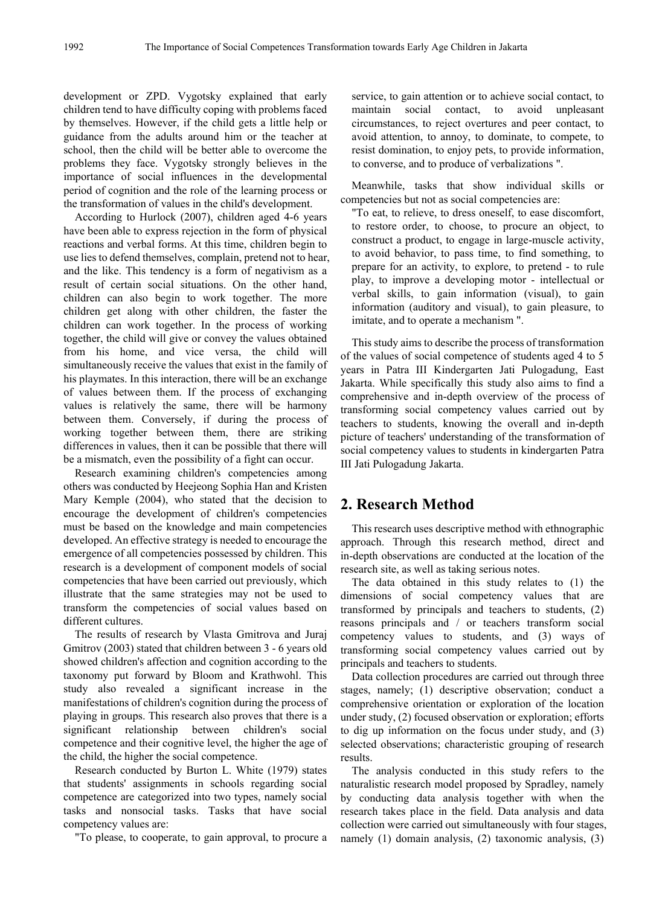development or ZPD. Vygotsky explained that early children tend to have difficulty coping with problems faced by themselves. However, if the child gets a little help or guidance from the adults around him or the teacher at school, then the child will be better able to overcome the problems they face. Vygotsky strongly believes in the importance of social influences in the developmental period of cognition and the role of the learning process or the transformation of values in the child's development.

According to Hurlock (2007), children aged 4-6 years have been able to express rejection in the form of physical reactions and verbal forms. At this time, children begin to use lies to defend themselves, complain, pretend not to hear, and the like. This tendency is a form of negativism as a result of certain social situations. On the other hand, children can also begin to work together. The more children get along with other children, the faster the children can work together. In the process of working together, the child will give or convey the values obtained from his home, and vice versa, the child will simultaneously receive the values that exist in the family of his playmates. In this interaction, there will be an exchange of values between them. If the process of exchanging values is relatively the same, there will be harmony between them. Conversely, if during the process of working together between them, there are striking differences in values, then it can be possible that there will be a mismatch, even the possibility of a fight can occur.

Research examining children's competencies among others was conducted by Heejeong Sophia Han and Kristen Mary Kemple (2004), who stated that the decision to encourage the development of children's competencies must be based on the knowledge and main competencies developed. An effective strategy is needed to encourage the emergence of all competencies possessed by children. This research is a development of component models of social competencies that have been carried out previously, which illustrate that the same strategies may not be used to transform the competencies of social values based on different cultures.

The results of research by Vlasta Gmitrova and Juraj Gmitrov (2003) stated that children between 3 - 6 years old showed children's affection and cognition according to the taxonomy put forward by Bloom and Krathwohl. This study also revealed a significant increase in the manifestations of children's cognition during the process of playing in groups. This research also proves that there is a significant relationship between children's social competence and their cognitive level, the higher the age of the child, the higher the social competence.

Research conducted by Burton L. White (1979) states that students' assignments in schools regarding social competence are categorized into two types, namely social tasks and nonsocial tasks. Tasks that have social competency values are:

"To please, to cooperate, to gain approval, to procure a

service, to gain attention or to achieve social contact, to maintain social contact, to avoid unpleasant circumstances, to reject overtures and peer contact, to avoid attention, to annoy, to dominate, to compete, to resist domination, to enjoy pets, to provide information, to converse, and to produce of verbalizations ".

Meanwhile, tasks that show individual skills or competencies but not as social competencies are:

"To eat, to relieve, to dress oneself, to ease discomfort, to restore order, to choose, to procure an object, to construct a product, to engage in large-muscle activity, to avoid behavior, to pass time, to find something, to prepare for an activity, to explore, to pretend - to rule play, to improve a developing motor - intellectual or verbal skills, to gain information (visual), to gain information (auditory and visual), to gain pleasure, to imitate, and to operate a mechanism ".

This study aims to describe the process of transformation of the values of social competence of students aged 4 to 5 years in Patra III Kindergarten Jati Pulogadung, East Jakarta. While specifically this study also aims to find a comprehensive and in-depth overview of the process of transforming social competency values carried out by teachers to students, knowing the overall and in-depth picture of teachers' understanding of the transformation of social competency values to students in kindergarten Patra III Jati Pulogadung Jakarta.

# **2. Research Method**

This research uses descriptive method with ethnographic approach. Through this research method, direct and in-depth observations are conducted at the location of the research site, as well as taking serious notes.

The data obtained in this study relates to (1) the dimensions of social competency values that are transformed by principals and teachers to students, (2) reasons principals and / or teachers transform social competency values to students, and (3) ways of transforming social competency values carried out by principals and teachers to students.

Data collection procedures are carried out through three stages, namely; (1) descriptive observation; conduct a comprehensive orientation or exploration of the location under study, (2) focused observation or exploration; efforts to dig up information on the focus under study, and (3) selected observations; characteristic grouping of research results.

The analysis conducted in this study refers to the naturalistic research model proposed by Spradley, namely by conducting data analysis together with when the research takes place in the field. Data analysis and data collection were carried out simultaneously with four stages, namely (1) domain analysis, (2) taxonomic analysis, (3)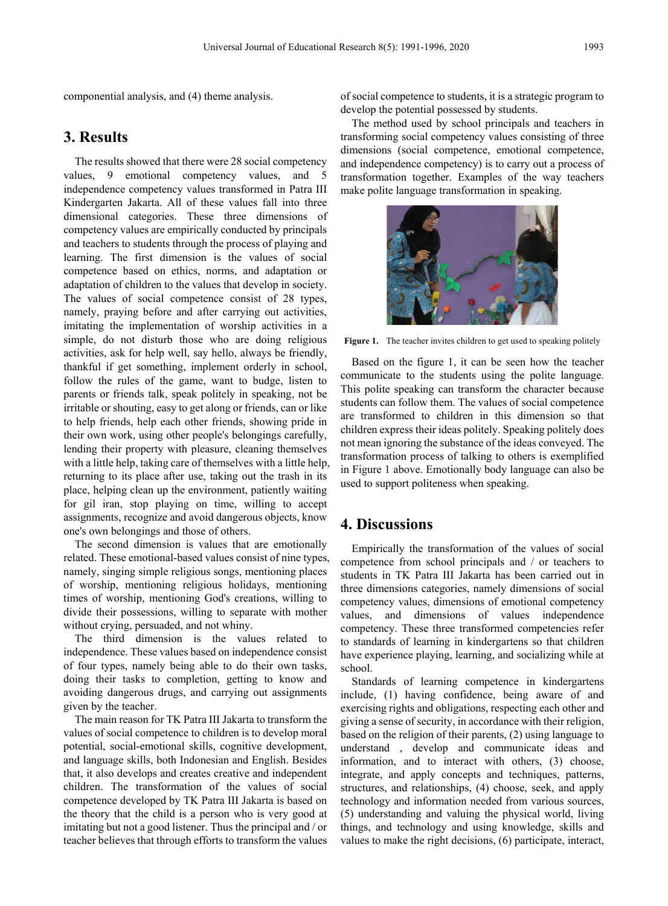componential analysis, and (4) theme analysis.

#### **3. Results**

The results showed that there were 28 social competency values, 9 emotional competency values, and 5 independence competency values transformed in Patra III Kindergarten Jakarta. All of these values fall into three dimensional categories. These three dimensions of competency values are empirically conducted by principals and teachers to students through the process of playing and learning. The first dimension is the values of social competence based on ethics, norms, and adaptation or adaptation of children to the values that develop in society. The values of social competence consist of 28 types, namely, praying before and after carrying out activities, imitating the implementation of worship activities in a simple, do not disturb those who are doing religious activities, ask for help well, say hello, always be friendly, thankful if get something, implement orderly in school, follow the rules of the game, want to budge, listen to parents or friends talk, speak politely in speaking, not be irritable or shouting, easy to get along or friends, can or like to help friends, help each other friends, showing pride in their own work, using other people's belongings carefully, lending their property with pleasure, cleaning themselves with a little help, taking care of themselves with a little help, returning to its place after use, taking out the trash in its place, helping clean up the environment, patiently waiting for gil iran, stop playing on time, willing to accept assignments, recognize and avoid dangerous objects, know one's own belongings and those of others.

The second dimension is values that are emotionally related. These emotional-based values consist of nine types, namely, singing simple religious songs, mentioning places of worship, mentioning religious holidays, mentioning times of worship, mentioning God's creations, willing to divide their possessions, willing to separate with mother without crying, persuaded, and not whiny.

The third dimension is the values related to independence. These values based on independence consist of four types, namely being able to do their own tasks, doing their tasks to completion, getting to know and avoiding dangerous drugs, and carrying out assignments given by the teacher.

The main reason for TK Patra III Jakarta to transform the values of social competence to children is to develop moral potential, social-emotional skills, cognitive development, and language skills, both Indonesian and English. Besides that, it also develops and creates creative and independent children. The transformation of the values of social competence developed by TK Patra III Jakarta is based on the theory that the child is a person who is very good at imitating but not a good listener. Thus the principal and / or teacher believes that through efforts to transform the values

of social competence to students, it is a strategic program to develop the potential possessed by students.

The method used by school principals and teachers in transforming social competency values consisting of three dimensions (social competence, emotional competence, and independence competency) is to carry out a process of transformation together. Examples of the way teachers make polite language transformation in speaking.



Figure 1. The teacher invites children to get used to speaking politely

Based on the figure 1, it can be seen how the teacher communicate to the students using the polite language. This polite speaking can transform the character because students can follow them. The values of social competence are transformed to children in this dimension so that children express their ideas politely. Speaking politely does not mean ignoring the substance of the ideas conveyed. The transformation process of talking to others is exemplified in Figure 1 above. Emotionally body language can also be used to support politeness when speaking.

#### **4. Discussions**

Empirically the transformation of the values of social competence from school principals and / or teachers to students in TK Patra III Jakarta has been carried out in three dimensions categories, namely dimensions of social competency values, dimensions of emotional competency values, and dimensions of values independence competency. These three transformed competencies refer to standards of learning in kindergartens so that children have experience playing, learning, and socializing while at school.

Standards of learning competence in kindergartens include, (1) having confidence, being aware of and exercising rights and obligations, respecting each other and giving a sense of security, in accordance with their religion, based on the religion of their parents, (2) using language to understand , develop and communicate ideas and information, and to interact with others, (3) choose, integrate, and apply concepts and techniques, patterns, structures, and relationships, (4) choose, seek, and apply technology and information needed from various sources, (5) understanding and valuing the physical world, living things, and technology and using knowledge, skills and values to make the right decisions, (6) participate, interact,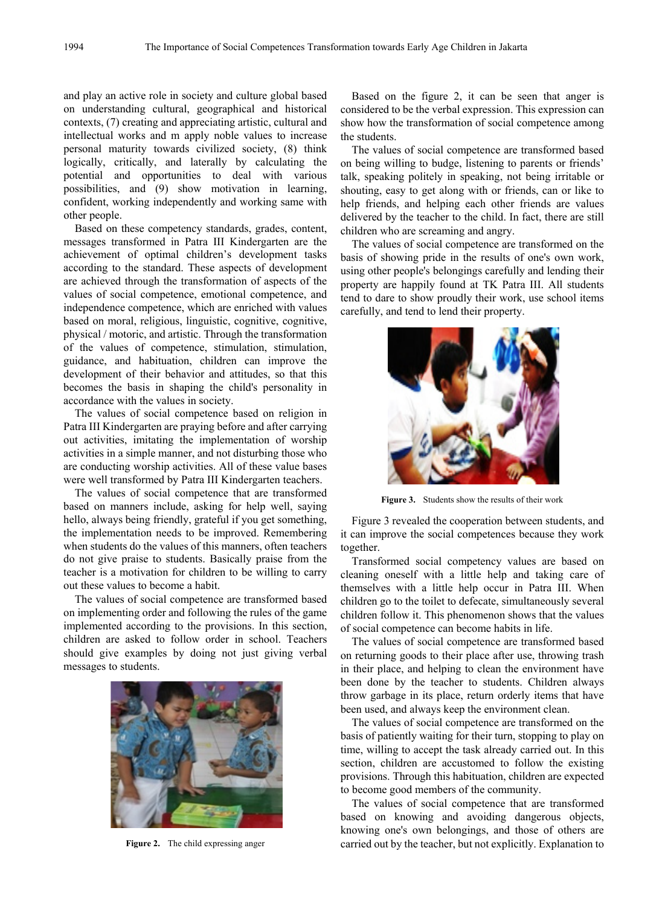and play an active role in society and culture global based on understanding cultural, geographical and historical contexts, (7) creating and appreciating artistic, cultural and intellectual works and m apply noble values to increase personal maturity towards civilized society, (8) think logically, critically, and laterally by calculating the potential and opportunities to deal with various possibilities, and (9) show motivation in learning, confident, working independently and working same with other people.

Based on these competency standards, grades, content, messages transformed in Patra III Kindergarten are the achievement of optimal children's development tasks according to the standard. These aspects of development are achieved through the transformation of aspects of the values of social competence, emotional competence, and independence competence, which are enriched with values based on moral, religious, linguistic, cognitive, cognitive, physical / motoric, and artistic. Through the transformation of the values of competence, stimulation, stimulation, guidance, and habituation, children can improve the development of their behavior and attitudes, so that this becomes the basis in shaping the child's personality in accordance with the values in society.

The values of social competence based on religion in Patra III Kindergarten are praying before and after carrying out activities, imitating the implementation of worship activities in a simple manner, and not disturbing those who are conducting worship activities. All of these value bases were well transformed by Patra III Kindergarten teachers.

The values of social competence that are transformed based on manners include, asking for help well, saying hello, always being friendly, grateful if you get something, the implementation needs to be improved. Remembering when students do the values of this manners, often teachers do not give praise to students. Basically praise from the teacher is a motivation for children to be willing to carry out these values to become a habit.

The values of social competence are transformed based on implementing order and following the rules of the game implemented according to the provisions. In this section, children are asked to follow order in school. Teachers should give examples by doing not just giving verbal messages to students.



**Figure 2.** The child expressing anger

Based on the figure 2, it can be seen that anger is considered to be the verbal expression. This expression can show how the transformation of social competence among the students.

The values of social competence are transformed based on being willing to budge, listening to parents or friends' talk, speaking politely in speaking, not being irritable or shouting, easy to get along with or friends, can or like to help friends, and helping each other friends are values delivered by the teacher to the child. In fact, there are still children who are screaming and angry.

The values of social competence are transformed on the basis of showing pride in the results of one's own work, using other people's belongings carefully and lending their property are happily found at TK Patra III. All students tend to dare to show proudly their work, use school items carefully, and tend to lend their property.



**Figure 3.** Students show the results of their work

Figure 3 revealed the cooperation between students, and it can improve the social competences because they work together.

Transformed social competency values are based on cleaning oneself with a little help and taking care of themselves with a little help occur in Patra III. When children go to the toilet to defecate, simultaneously several children follow it. This phenomenon shows that the values of social competence can become habits in life.

The values of social competence are transformed based on returning goods to their place after use, throwing trash in their place, and helping to clean the environment have been done by the teacher to students. Children always throw garbage in its place, return orderly items that have been used, and always keep the environment clean.

The values of social competence are transformed on the basis of patiently waiting for their turn, stopping to play on time, willing to accept the task already carried out. In this section, children are accustomed to follow the existing provisions. Through this habituation, children are expected to become good members of the community.

The values of social competence that are transformed based on knowing and avoiding dangerous objects, knowing one's own belongings, and those of others are carried out by the teacher, but not explicitly. Explanation to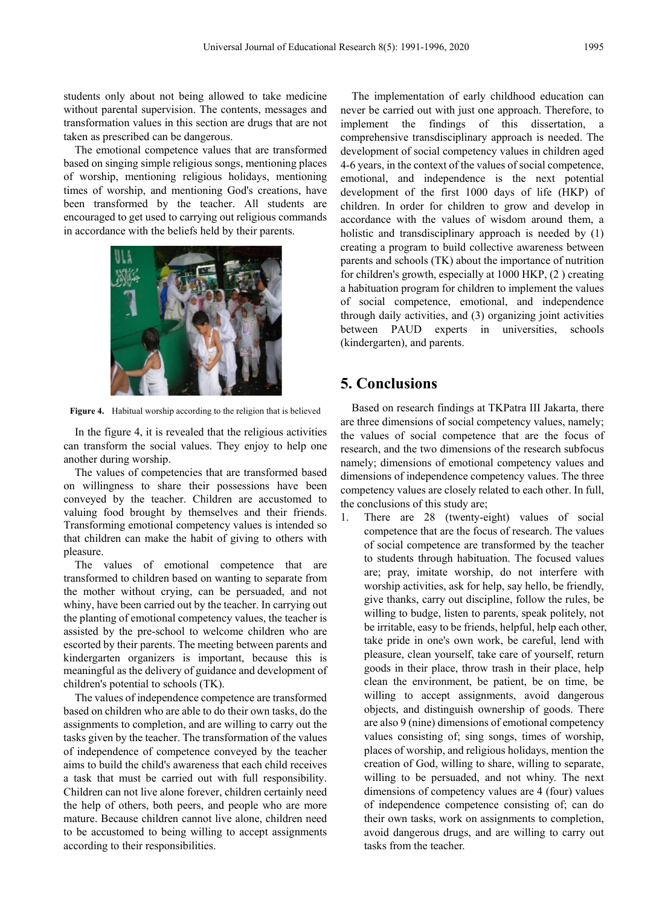students only about not being allowed to take medicine without parental supervision. The contents, messages and transformation values in this section are drugs that are not taken as prescribed can be dangerous.

The emotional competence values that are transformed based on singing simple religious songs, mentioning places of worship, mentioning religious holidays, mentioning times of worship, and mentioning God's creations, have been transformed by the teacher. All students are encouraged to get used to carrying out religious commands in accordance with the beliefs held by their parents.



**Figure 4.** Habitual worship according to the religion that is believed

In the figure 4, it is revealed that the religious activities can transform the social values. They enjoy to help one another during worship.

The values of competencies that are transformed based on willingness to share their possessions have been conveyed by the teacher. Children are accustomed to valuing food brought by themselves and their friends. Transforming emotional competency values is intended so that children can make the habit of giving to others with pleasure.

The values of emotional competence that are transformed to children based on wanting to separate from the mother without crying, can be persuaded, and not whiny, have been carried out by the teacher. In carrying out the planting of emotional competency values, the teacher is assisted by the pre-school to welcome children who are escorted by their parents. The meeting between parents and kindergarten organizers is important, because this is meaningful as the delivery of guidance and development of children's potential to schools (TK).

The values of independence competence are transformed based on children who are able to do their own tasks, do the assignments to completion, and are willing to carry out the tasks given by the teacher. The transformation of the values of independence of competence conveyed by the teacher aims to build the child's awareness that each child receives a task that must be carried out with full responsibility. Children can not live alone forever, children certainly need the help of others, both peers, and people who are more mature. Because children cannot live alone, children need to be accustomed to being willing to accept assignments according to their responsibilities.

The implementation of early childhood education can never be carried out with just one approach. Therefore, to implement the findings of this dissertation, a comprehensive transdisciplinary approach is needed. The development of social competency values in children aged 4-6 years, in the context of the values of social competence, emotional, and independence is the next potential development of the first 1000 days of life (HKP) of children. In order for children to grow and develop in accordance with the values of wisdom around them, a holistic and transdisciplinary approach is needed by (1) creating a program to build collective awareness between parents and schools (TK) about the importance of nutrition for children's growth, especially at 1000 HKP, (2 ) creating a habituation program for children to implement the values of social competence, emotional, and independence through daily activities, and (3) organizing joint activities between PAUD experts in universities, schools (kindergarten), and parents.

#### **5. Conclusions**

Based on research findings at TKPatra III Jakarta, there are three dimensions of social competency values, namely; the values of social competence that are the focus of research, and the two dimensions of the research subfocus namely; dimensions of emotional competency values and dimensions of independence competency values. The three competency values are closely related to each other. In full, the conclusions of this study are;

1. There are 28 (twenty-eight) values of social competence that are the focus of research. The values of social competence are transformed by the teacher to students through habituation. The focused values are; pray, imitate worship, do not interfere with worship activities, ask for help, say hello, be friendly, give thanks, carry out discipline, follow the rules, be willing to budge, listen to parents, speak politely, not be irritable, easy to be friends, helpful, help each other, take pride in one's own work, be careful, lend with pleasure, clean yourself, take care of yourself, return goods in their place, throw trash in their place, help clean the environment, be patient, be on time, be willing to accept assignments, avoid dangerous objects, and distinguish ownership of goods. There are also 9 (nine) dimensions of emotional competency values consisting of; sing songs, times of worship, places of worship, and religious holidays, mention the creation of God, willing to share, willing to separate, willing to be persuaded, and not whiny. The next dimensions of competency values are 4 (four) values of independence competence consisting of; can do their own tasks, work on assignments to completion, avoid dangerous drugs, and are willing to carry out tasks from the teacher.